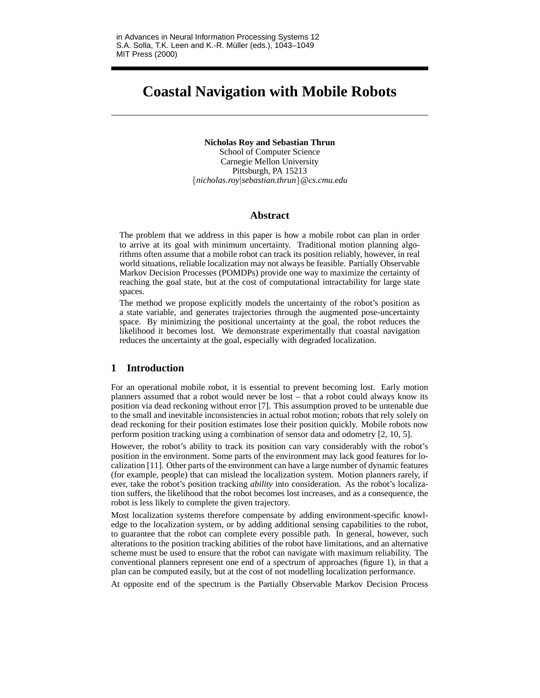# **Coastal Navigation with Mobile Robots**

**Nicholas Roy and Sebastian Thrun** School of Computer Science Carnegie Mellon University Pittsburgh, PA 15213 {*nicholas.roy*|*sebastian.thrun*}*@cs.cmu.edu*

## **Abstract**

The problem that we address in this paper is how a mobile robot can plan in order to arrive at its goal with minimum uncertainty. Traditional motion planning algorithms often assume that a mobile robot can track its position reliably, however, in real world situations, reliable localization may not always be feasible. Partially Observable Markov Decision Processes (POMDPs) provide one way to maximize the certainty of reaching the goal state, but at the cost of computational intractability for large state spaces.

The method we propose explicitly models the uncertainty of the robot's position as a state variable, and generates trajectories through the augmented pose-uncertainty space. By minimizing the positional uncertainty at the goal, the robot reduces the likelihood it becomes lost. We demonstrate experimentally that coastal navigation reduces the uncertainty at the goal, especially with degraded localization.

# **1 Introduction**

For an operational mobile robot, it is essential to prevent becoming lost. Early motion planners assumed that a robot would never be lost – that a robot could always know its position via dead reckoning without error [7]. This assumption proved to be untenable due to the small and inevitable inconsistencies in actual robot motion; robots that rely solely on dead reckoning for their position estimates lose their position quickly. Mobile robots now perform position tracking using a combination of sensor data and odometry [2, 10, 5].

However, the robot's ability to track its position can vary considerably with the robot's position in the environment. Some parts of the environment may lack good features for localization [11]. Other parts of the environment can have a large number of dynamic features (for example, people) that can mislead the localization system. Motion planners rarely, if ever, take the robot's position tracking *ability* into consideration. As the robot's localization suffers, the likelihood that the robot becomes lost increases, and as a consequence, the robot is less likely to complete the given trajectory.

Most localization systems therefore compensate by adding environment-specific knowledge to the localization system, or by adding additional sensing capabilities to the robot, to guarantee that the robot can complete every possible path. In general, however, such alterations to the position tracking abilities of the robot have limitations, and an alternative scheme must be used to ensure that the robot can navigate with maximum reliability. The conventional planners represent one end of a spectrum of approaches (figure 1), in that a plan can be computed easily, but at the cost of not modelling localization performance.

At opposite end of the spectrum is the Partially Observable Markov Decision Process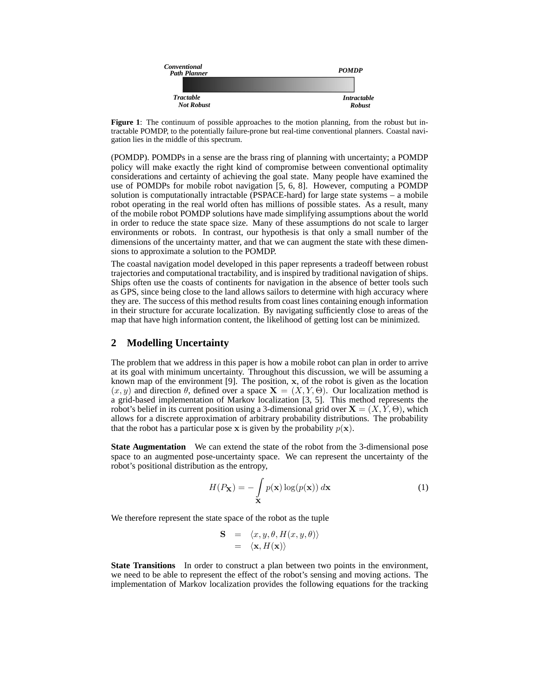

**Figure 1**: The continuum of possible approaches to the motion planning, from the robust but intractable POMDP, to the potentially failure-prone but real-time conventional planners. Coastal navigation lies in the middle of this spectrum.

(POMDP). POMDPs in a sense are the brass ring of planning with uncertainty; a POMDP policy will make exactly the right kind of compromise between conventional optimality considerations and certainty of achieving the goal state. Many people have examined the use of POMDPs for mobile robot navigation [5, 6, 8]. However, computing a POMDP solution is computationally intractable (PSPACE-hard) for large state systems – a mobile robot operating in the real world often has millions of possible states. As a result, many of the mobile robot POMDP solutions have made simplifying assumptions about the world in order to reduce the state space size. Many of these assumptions do not scale to larger environments or robots. In contrast, our hypothesis is that only a small number of the dimensions of the uncertainty matter, and that we can augment the state with these dimensions to approximate a solution to the POMDP.

The coastal navigation model developed in this paper represents a tradeoff between robust trajectories and computational tractability, and is inspired by traditional navigation of ships. Ships often use the coasts of continents for navigation in the absence of better tools such as GPS, since being close to the land allows sailors to determine with high accuracy where they are. The success of this method results from coast lines containing enough information in their structure for accurate localization. By navigating sufficiently close to areas of the map that have high information content, the likelihood of getting lost can be minimized.

## **2 Modelling Uncertainty**

The problem that we address in this paper is how a mobile robot can plan in order to arrive at its goal with minimum uncertainty. Throughout this discussion, we will be assuming a known map of the environment [9]. The position,  $x$ , of the robot is given as the location  $(x, y)$  and direction  $\theta$ , defined over a space  $\mathbf{X} = (X, Y, \Theta)$ . Our localization method is a grid-based implementation of Markov localization [3, 5]. This method represents the robot's belief in its current position using a 3-dimensional grid over  $X = (X, Y, \Theta)$ , which allows for a discrete approximation of arbitrary probability distributions. The probability that the robot has a particular pose x is given by the probability  $p(x)$ .

**State Augmentation** We can extend the state of the robot from the 3-dimensional pose space to an augmented pose-uncertainty space. We can represent the uncertainty of the robot's positional distribution as the entropy,

$$
H(P_{\mathbf{X}}) = -\int_{\mathbf{X}} p(\mathbf{x}) \log(p(\mathbf{x})) d\mathbf{x}
$$
 (1)

We therefore represent the state space of the robot as the tuple

$$
\begin{array}{rcl} \mathbf{S} & = & \langle x, y, \theta, H(x, y, \theta) \rangle \\ & = & \langle \mathbf{x}, H(\mathbf{x}) \rangle \end{array}
$$

**State Transitions** In order to construct a plan between two points in the environment, we need to be able to represent the effect of the robot's sensing and moving actions. The implementation of Markov localization provides the following equations for the tracking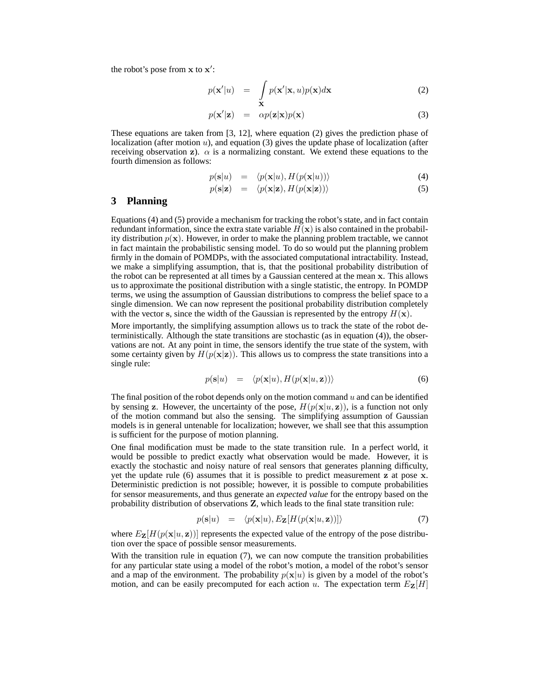the robot's pose from  $x$  to  $x'$ :

$$
p(\mathbf{x}'|u) = \int_{\mathbf{X}} p(\mathbf{x}'|\mathbf{x}, u)p(\mathbf{x})d\mathbf{x}
$$
 (2)

$$
p(\mathbf{x}'|\mathbf{z}) = \alpha p(\mathbf{z}|\mathbf{x})p(\mathbf{x}) \tag{3}
$$

These equations are taken from [3, 12], where equation (2) gives the prediction phase of localization (after motion  $u$ ), and equation (3) gives the update phase of localization (after receiving observation z).  $\alpha$  is a normalizing constant. We extend these equations to the fourth dimension as follows:

$$
p(\mathbf{s}|u) = \langle p(\mathbf{x}|u), H(p(\mathbf{x}|u)) \rangle \tag{4}
$$

$$
p(\mathbf{s}|\mathbf{z}) = \langle p(\mathbf{x}|\mathbf{z}), H(p(\mathbf{x}|\mathbf{z})) \rangle \tag{5}
$$

#### **3 Planning**

Equations (4) and (5) provide a mechanism for tracking the robot's state, and in fact contain redundant information, since the extra state variable  $H(\mathbf{x})$  is also contained in the probability distribution  $p(x)$ . However, in order to make the planning problem tractable, we cannot in fact maintain the probabilistic sensing model. To do so would put the planning problem firmly in the domain of POMDPs, with the associated computational intractability. Instead, we make a simplifying assumption, that is, that the positional probability distribution of the robot can be represented at all times by a Gaussian centered at the mean x. This allows us to approximate the positional distribution with a single statistic, the entropy. In POMDP terms, we using the assumption of Gaussian distributions to compress the belief space to a single dimension. We can now represent the positional probability distribution completely with the vector s, since the width of the Gaussian is represented by the entropy  $H(\mathbf{x})$ .

More importantly, the simplifying assumption allows us to track the state of the robot deterministically. Although the state transitions are stochastic (as in equation (4)), the observations are not. At any point in time, the sensors identify the true state of the system, with some certainty given by  $H(p(\mathbf{x}|\mathbf{z}))$ . This allows us to compress the state transitions into a single rule:

$$
p(\mathbf{s}|u) = \langle p(\mathbf{x}|u), H(p(\mathbf{x}|u, \mathbf{z})) \rangle \tag{6}
$$

The final position of the robot depends only on the motion command  $u$  and can be identified by sensing z. However, the uncertainty of the pose,  $H(p(\mathbf{x}|u, \mathbf{z}))$ , is a function not only of the motion command but also the sensing. The simplifying assumption of Gaussian models is in general untenable for localization; however, we shall see that this assumption is sufficient for the purpose of motion planning.

One final modification must be made to the state transition rule. In a perfect world, it would be possible to predict exactly what observation would be made. However, it is exactly the stochastic and noisy nature of real sensors that generates planning difficulty, yet the update rule (6) assumes that it is possible to predict measurement z at pose x. Deterministic prediction is not possible; however, it is possible to compute probabilities for sensor measurements, and thus generate an *expected value* for the entropy based on the probability distribution of observations Z, which leads to the final state transition rule:

$$
p(\mathbf{s}|u) = \langle p(\mathbf{x}|u), E_{\mathbf{Z}}[H(p(\mathbf{x}|u,\mathbf{z}))] \rangle \tag{7}
$$

where  $E_{\mathbf{Z}}[H(p(\mathbf{x}|u, \mathbf{z}))]$  represents the expected value of the entropy of the pose distribution over the space of possible sensor measurements.

With the transition rule in equation (7), we can now compute the transition probabilities for any particular state using a model of the robot's motion, a model of the robot's sensor and a map of the environment. The probability  $p(x|u)$  is given by a model of the robot's motion, and can be easily precomputed for each action u. The expectation term  $E_{\mathbf{Z}}[H]$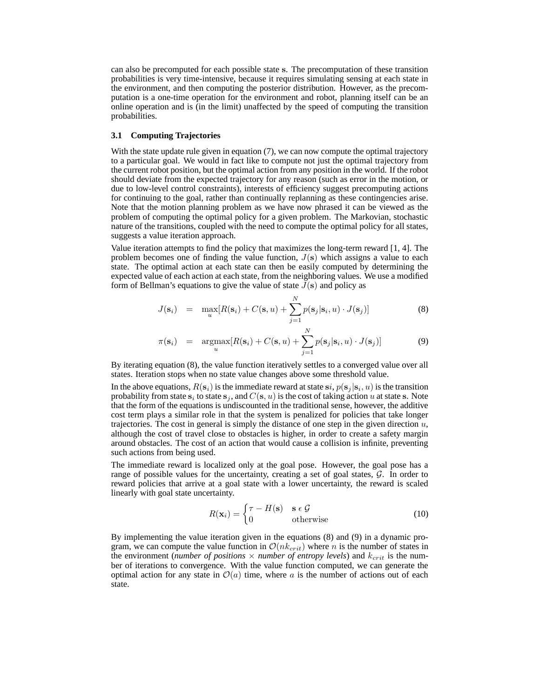can also be precomputed for each possible state s. The precomputation of these transition probabilities is very time-intensive, because it requires simulating sensing at each state in the environment, and then computing the posterior distribution. However, as the precomputation is a one-time operation for the environment and robot, planning itself can be an online operation and is (in the limit) unaffected by the speed of computing the transition probabilities.

### **3.1 Computing Trajectories**

With the state update rule given in equation (7), we can now compute the optimal trajectory to a particular goal. We would in fact like to compute not just the optimal trajectory from the current robot position, but the optimal action from any position in the world. If the robot should deviate from the expected trajectory for any reason (such as error in the motion, or due to low-level control constraints), interests of efficiency suggest precomputing actions for continuing to the goal, rather than continually replanning as these contingencies arise. Note that the motion planning problem as we have now phrased it can be viewed as the problem of computing the optimal policy for a given problem. The Markovian, stochastic nature of the transitions, coupled with the need to compute the optimal policy for all states, suggests a value iteration approach.

Value iteration attempts to find the policy that maximizes the long-term reward [1, 4]. The problem becomes one of finding the value function,  $J(s)$  which assigns a value to each state. The optimal action at each state can then be easily computed by determining the expected value of each action at each state, from the neighboring values. We use a modified form of Bellman's equations to give the value of state  $J(s)$  and policy as

$$
J(\mathbf{s}_i) = \max_u [R(\mathbf{s}_i) + C(\mathbf{s}, u) + \sum_{j=1}^N p(\mathbf{s}_j | \mathbf{s}_i, u) \cdot J(\mathbf{s}_j)] \tag{8}
$$

$$
\pi(\mathbf{s}_i) = \operatorname*{argmax}_{u} [R(\mathbf{s}_i) + C(\mathbf{s}, u) + \sum_{j=1}^{N} p(\mathbf{s}_j | \mathbf{s}_i, u) \cdot J(\mathbf{s}_j)] \tag{9}
$$

By iterating equation (8), the value function iteratively settles to a converged value over all states. Iteration stops when no state value changes above some threshold value.

In the above equations,  $R(s_i)$  is the immediate reward at state  $si, p(s_j | s_i, u)$  is the transition probability from state  $\mathbf{s}_i$  to state  $\mathbf{s}_j$ , and  $C(\mathbf{s}, u)$  is the cost of taking action  $u$  at state  $\mathbf{s}$ . Note that the form of the equations is undiscounted in the traditional sense, however, the additive cost term plays a similar role in that the system is penalized for policies that take longer trajectories. The cost in general is simply the distance of one step in the given direction  $u$ , although the cost of travel close to obstacles is higher, in order to create a safety margin around obstacles. The cost of an action that would cause a collision is infinite, preventing such actions from being used.

The immediate reward is localized only at the goal pose. However, the goal pose has a range of possible values for the uncertainty, creating a set of goal states,  $\mathcal{G}$ . In order to reward policies that arrive at a goal state with a lower uncertainty, the reward is scaled linearly with goal state uncertainty.

$$
R(\mathbf{x}_i) = \begin{cases} \tau - H(\mathbf{s}) & \mathbf{s} \in \mathcal{G} \\ 0 & \text{otherwise} \end{cases}
$$
 (10)

By implementing the value iteration given in the equations (8) and (9) in a dynamic program, we can compute the value function in  $\mathcal{O}(nk_{crit})$  where n is the number of states in the environment (*number* of *positions*  $\times$  *number* of *entropy levels*) and  $k_{crit}$  is the number of iterations to convergence. With the value function computed, we can generate the optimal action for any state in  $\mathcal{O}(a)$  time, where a is the number of actions out of each state.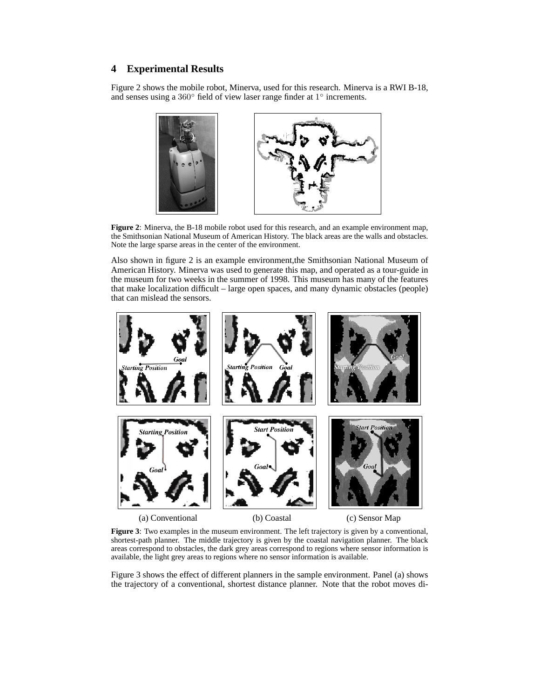# **4 Experimental Results**

Figure 2 shows the mobile robot, Minerva, used for this research. Minerva is a RWI B-18, and senses using a  $360^\circ$  field of view laser range finder at  $1^\circ$  increments.



**Figure 2**: Minerva, the B-18 mobile robot used for this research, and an example environment map, the Smithsonian National Museum of American History. The black areas are the walls and obstacles. Note the large sparse areas in the center of the environment.

Also shown in figure 2 is an example environment,the Smithsonian National Museum of American History. Minerva was used to generate this map, and operated as a tour-guide in the museum for two weeks in the summer of 1998. This museum has many of the features that make localization difficult – large open spaces, and many dynamic obstacles (people) that can mislead the sensors.



**Figure 3**: Two examples in the museum environment. The left trajectory is given by a conventional, shortest-path planner. The middle trajectory is given by the coastal navigation planner. The black areas correspond to obstacles, the dark grey areas correspond to regions where sensor information is available, the light grey areas to regions where no sensor information is available.

Figure 3 shows the effect of different planners in the sample environment. Panel (a) shows the trajectory of a conventional, shortest distance planner. Note that the robot moves di-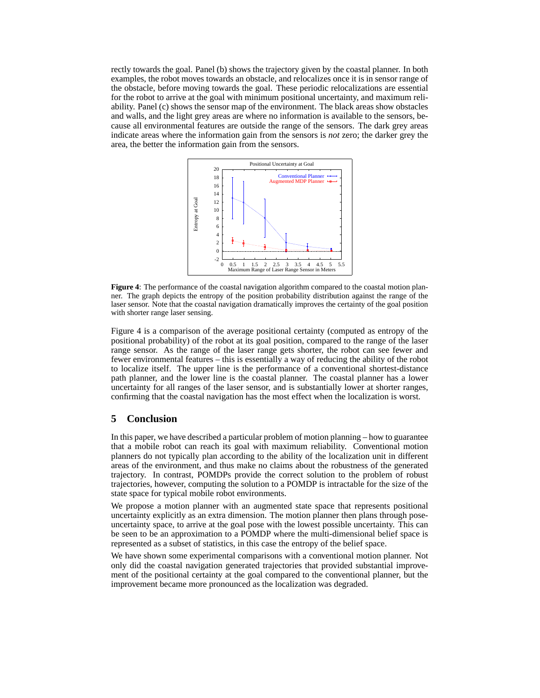rectly towards the goal. Panel (b) shows the trajectory given by the coastal planner. In both examples, the robot moves towards an obstacle, and relocalizes once it is in sensor range of the obstacle, before moving towards the goal. These periodic relocalizations are essential for the robot to arrive at the goal with minimum positional uncertainty, and maximum reliability. Panel (c) shows the sensor map of the environment. The black areas show obstacles and walls, and the light grey areas are where no information is available to the sensors, because all environmental features are outside the range of the sensors. The dark grey areas indicate areas where the information gain from the sensors is *not* zero; the darker grey the area, the better the information gain from the sensors.



**Figure 4**: The performance of the coastal navigation algorithm compared to the coastal motion planner. The graph depicts the entropy of the position probability distribution against the range of the laser sensor. Note that the coastal navigation dramatically improves the certainty of the goal position with shorter range laser sensing.

Figure 4 is a comparison of the average positional certainty (computed as entropy of the positional probability) of the robot at its goal position, compared to the range of the laser range sensor. As the range of the laser range gets shorter, the robot can see fewer and fewer environmental features – this is essentially a way of reducing the ability of the robot to localize itself. The upper line is the performance of a conventional shortest-distance path planner, and the lower line is the coastal planner. The coastal planner has a lower uncertainty for all ranges of the laser sensor, and is substantially lower at shorter ranges, confirming that the coastal navigation has the most effect when the localization is worst.

## **5 Conclusion**

In this paper, we have described a particular problem of motion planning – how to guarantee that a mobile robot can reach its goal with maximum reliability. Conventional motion planners do not typically plan according to the ability of the localization unit in different areas of the environment, and thus make no claims about the robustness of the generated trajectory. In contrast, POMDPs provide the correct solution to the problem of robust trajectories, however, computing the solution to a POMDP is intractable for the size of the state space for typical mobile robot environments.

We propose a motion planner with an augmented state space that represents positional uncertainty explicitly as an extra dimension. The motion planner then plans through poseuncertainty space, to arrive at the goal pose with the lowest possible uncertainty. This can be seen to be an approximation to a POMDP where the multi-dimensional belief space is represented as a subset of statistics, in this case the entropy of the belief space.

We have shown some experimental comparisons with a conventional motion planner. Not only did the coastal navigation generated trajectories that provided substantial improvement of the positional certainty at the goal compared to the conventional planner, but the improvement became more pronounced as the localization was degraded.